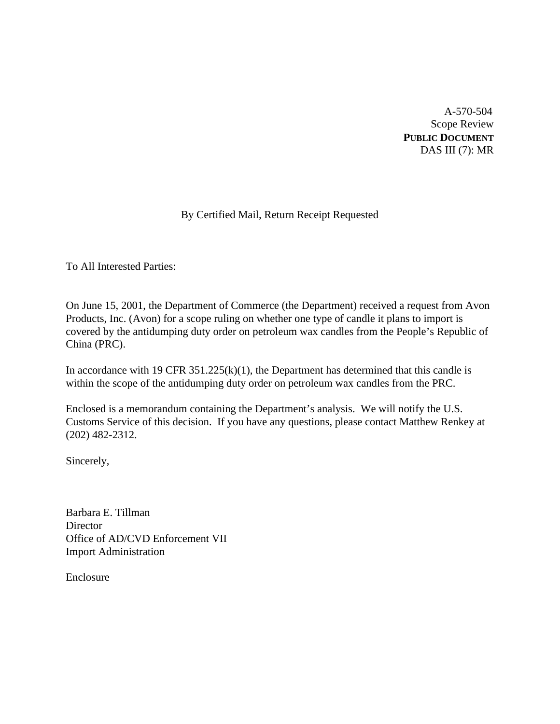A-570-504 Scope Review **PUBLIC DOCUMENT** DAS III (7): MR

# By Certified Mail, Return Receipt Requested

To All Interested Parties:

On June 15, 2001, the Department of Commerce (the Department) received a request from Avon Products, Inc. (Avon) for a scope ruling on whether one type of candle it plans to import is covered by the antidumping duty order on petroleum wax candles from the People's Republic of China (PRC).

In accordance with 19 CFR  $351.225(k)(1)$ , the Department has determined that this candle is within the scope of the antidumping duty order on petroleum wax candles from the PRC.

Enclosed is a memorandum containing the Department's analysis. We will notify the U.S. Customs Service of this decision. If you have any questions, please contact Matthew Renkey at (202) 482-2312.

Sincerely,

Barbara E. Tillman **Director** Office of AD/CVD Enforcement VII Import Administration

Enclosure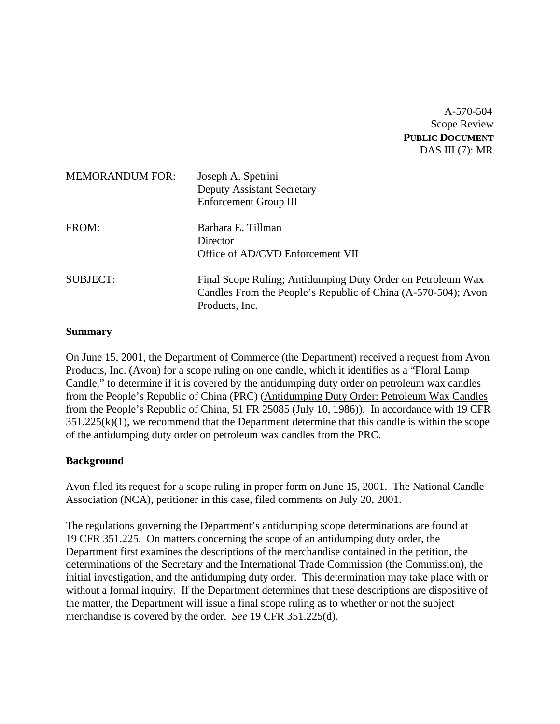A-570-504 Scope Review **PUBLIC DOCUMENT** DAS III (7): MR

| <b>MEMORANDUM FOR:</b> | Joseph A. Spetrini<br><b>Deputy Assistant Secretary</b><br><b>Enforcement Group III</b>                                                        |
|------------------------|------------------------------------------------------------------------------------------------------------------------------------------------|
| FROM:                  | Barbara E. Tillman<br>Director<br>Office of AD/CVD Enforcement VII                                                                             |
| <b>SUBJECT:</b>        | Final Scope Ruling; Antidumping Duty Order on Petroleum Wax<br>Candles From the People's Republic of China (A-570-504); Avon<br>Products, Inc. |

### **Summary**

On June 15, 2001, the Department of Commerce (the Department) received a request from Avon Products, Inc. (Avon) for a scope ruling on one candle, which it identifies as a "Floral Lamp Candle," to determine if it is covered by the antidumping duty order on petroleum wax candles from the People's Republic of China (PRC) (Antidumping Duty Order: Petroleum Wax Candles from the People's Republic of China, 51 FR 25085 (July 10, 1986)). In accordance with 19 CFR  $351.225(k)(1)$ , we recommend that the Department determine that this candle is within the scope of the antidumping duty order on petroleum wax candles from the PRC.

### **Background**

Avon filed its request for a scope ruling in proper form on June 15, 2001. The National Candle Association (NCA), petitioner in this case, filed comments on July 20, 2001.

The regulations governing the Department's antidumping scope determinations are found at 19 CFR 351.225. On matters concerning the scope of an antidumping duty order, the Department first examines the descriptions of the merchandise contained in the petition, the determinations of the Secretary and the International Trade Commission (the Commission), the initial investigation, and the antidumping duty order. This determination may take place with or without a formal inquiry. If the Department determines that these descriptions are dispositive of the matter, the Department will issue a final scope ruling as to whether or not the subject merchandise is covered by the order. *See* 19 CFR 351.225(d).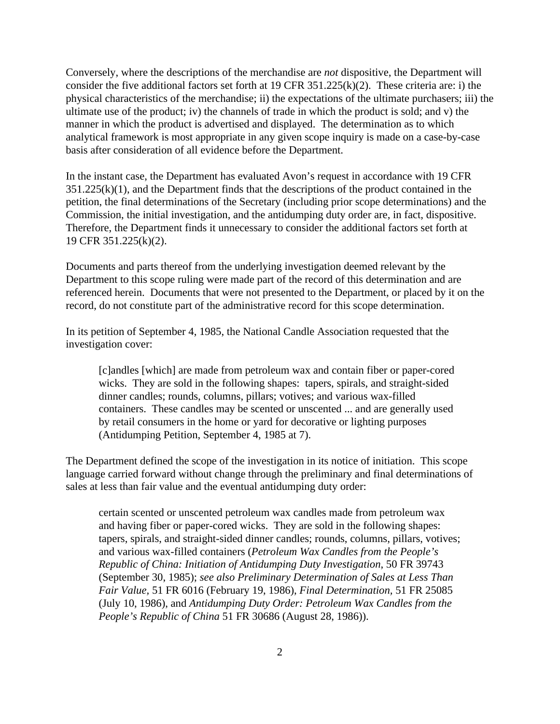Conversely, where the descriptions of the merchandise are *not* dispositive, the Department will consider the five additional factors set forth at 19 CFR 351.225(k)(2). These criteria are: i) the physical characteristics of the merchandise; ii) the expectations of the ultimate purchasers; iii) the ultimate use of the product; iv) the channels of trade in which the product is sold; and v) the manner in which the product is advertised and displayed. The determination as to which analytical framework is most appropriate in any given scope inquiry is made on a case-by-case basis after consideration of all evidence before the Department.

In the instant case, the Department has evaluated Avon's request in accordance with 19 CFR  $351.225(k)(1)$ , and the Department finds that the descriptions of the product contained in the petition, the final determinations of the Secretary (including prior scope determinations) and the Commission, the initial investigation, and the antidumping duty order are, in fact, dispositive. Therefore, the Department finds it unnecessary to consider the additional factors set forth at 19 CFR 351.225(k)(2).

Documents and parts thereof from the underlying investigation deemed relevant by the Department to this scope ruling were made part of the record of this determination and are referenced herein. Documents that were not presented to the Department, or placed by it on the record, do not constitute part of the administrative record for this scope determination.

In its petition of September 4, 1985, the National Candle Association requested that the investigation cover:

[c]andles [which] are made from petroleum wax and contain fiber or paper-cored wicks. They are sold in the following shapes: tapers, spirals, and straight-sided dinner candles; rounds, columns, pillars; votives; and various wax-filled containers. These candles may be scented or unscented ... and are generally used by retail consumers in the home or yard for decorative or lighting purposes (Antidumping Petition, September 4, 1985 at 7).

The Department defined the scope of the investigation in its notice of initiation. This scope language carried forward without change through the preliminary and final determinations of sales at less than fair value and the eventual antidumping duty order:

certain scented or unscented petroleum wax candles made from petroleum wax and having fiber or paper-cored wicks. They are sold in the following shapes: tapers, spirals, and straight-sided dinner candles; rounds, columns, pillars, votives; and various wax-filled containers (*Petroleum Wax Candles from the People's Republic of China: Initiation of Antidumping Duty Investigation*, 50 FR 39743 (September 30, 1985); *see also Preliminary Determination of Sales at Less Than Fair Value,* 51 FR 6016 (February 19, 1986), *Final Determination,* 51 FR 25085 (July 10, 1986), and *Antidumping Duty Order: Petroleum Wax Candles from the People's Republic of China* 51 FR 30686 (August 28, 1986)).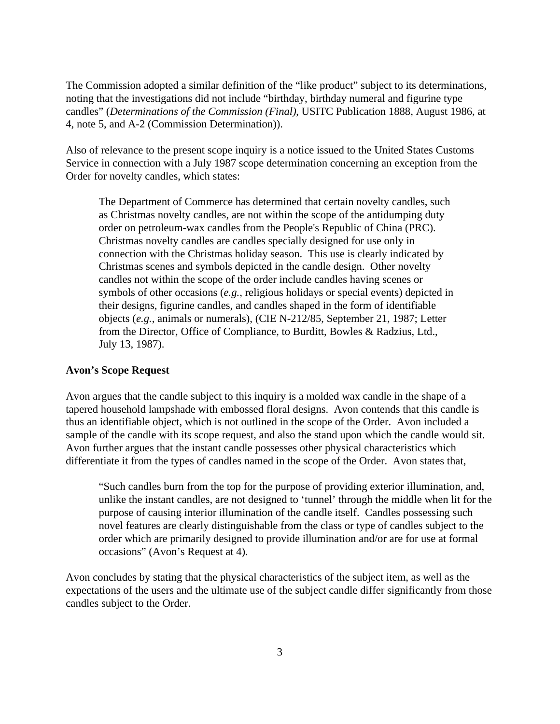The Commission adopted a similar definition of the "like product" subject to its determinations, noting that the investigations did not include "birthday, birthday numeral and figurine type candles" (*Determinations of the Commission (Final)*, USITC Publication 1888, August 1986, at 4, note 5, and A-2 (Commission Determination)).

Also of relevance to the present scope inquiry is a notice issued to the United States Customs Service in connection with a July 1987 scope determination concerning an exception from the Order for novelty candles, which states:

The Department of Commerce has determined that certain novelty candles, such as Christmas novelty candles, are not within the scope of the antidumping duty order on petroleum-wax candles from the People's Republic of China (PRC). Christmas novelty candles are candles specially designed for use only in connection with the Christmas holiday season. This use is clearly indicated by Christmas scenes and symbols depicted in the candle design. Other novelty candles not within the scope of the order include candles having scenes or symbols of other occasions (*e.g.*, religious holidays or special events) depicted in their designs, figurine candles, and candles shaped in the form of identifiable objects (*e.g.*, animals or numerals), (CIE N-212/85, September 21, 1987; Letter from the Director, Office of Compliance, to Burditt, Bowles & Radzius, Ltd., July 13, 1987).

#### **Avon's Scope Request**

Avon argues that the candle subject to this inquiry is a molded wax candle in the shape of a tapered household lampshade with embossed floral designs. Avon contends that this candle is thus an identifiable object, which is not outlined in the scope of the Order. Avon included a sample of the candle with its scope request, and also the stand upon which the candle would sit. Avon further argues that the instant candle possesses other physical characteristics which differentiate it from the types of candles named in the scope of the Order. Avon states that,

"Such candles burn from the top for the purpose of providing exterior illumination, and, unlike the instant candles, are not designed to 'tunnel' through the middle when lit for the purpose of causing interior illumination of the candle itself. Candles possessing such novel features are clearly distinguishable from the class or type of candles subject to the order which are primarily designed to provide illumination and/or are for use at formal occasions" (Avon's Request at 4).

Avon concludes by stating that the physical characteristics of the subject item, as well as the expectations of the users and the ultimate use of the subject candle differ significantly from those candles subject to the Order.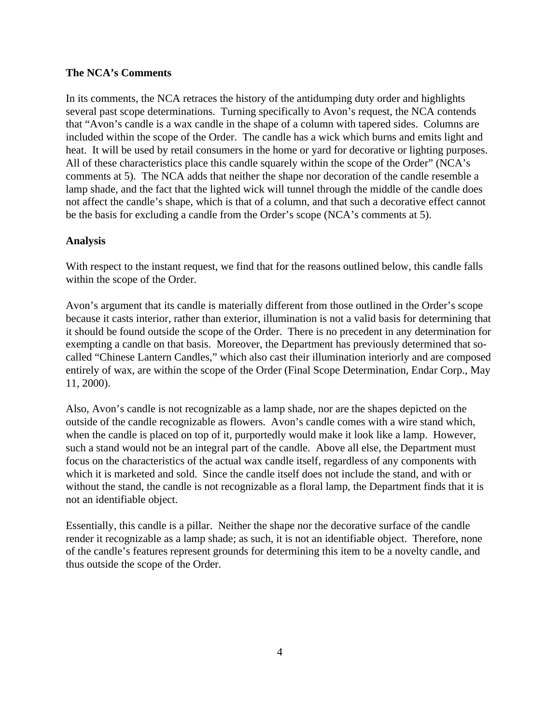## **The NCA's Comments**

In its comments, the NCA retraces the history of the antidumping duty order and highlights several past scope determinations. Turning specifically to Avon's request, the NCA contends that "Avon's candle is a wax candle in the shape of a column with tapered sides. Columns are included within the scope of the Order. The candle has a wick which burns and emits light and heat. It will be used by retail consumers in the home or yard for decorative or lighting purposes. All of these characteristics place this candle squarely within the scope of the Order" (NCA's comments at 5). The NCA adds that neither the shape nor decoration of the candle resemble a lamp shade, and the fact that the lighted wick will tunnel through the middle of the candle does not affect the candle's shape, which is that of a column, and that such a decorative effect cannot be the basis for excluding a candle from the Order's scope (NCA's comments at 5).

# **Analysis**

With respect to the instant request, we find that for the reasons outlined below, this candle falls within the scope of the Order.

Avon's argument that its candle is materially different from those outlined in the Order's scope because it casts interior, rather than exterior, illumination is not a valid basis for determining that it should be found outside the scope of the Order. There is no precedent in any determination for exempting a candle on that basis. Moreover, the Department has previously determined that socalled "Chinese Lantern Candles," which also cast their illumination interiorly and are composed entirely of wax, are within the scope of the Order (Final Scope Determination, Endar Corp., May 11, 2000).

Also, Avon's candle is not recognizable as a lamp shade, nor are the shapes depicted on the outside of the candle recognizable as flowers. Avon's candle comes with a wire stand which, when the candle is placed on top of it, purportedly would make it look like a lamp. However, such a stand would not be an integral part of the candle. Above all else, the Department must focus on the characteristics of the actual wax candle itself, regardless of any components with which it is marketed and sold. Since the candle itself does not include the stand, and with or without the stand, the candle is not recognizable as a floral lamp, the Department finds that it is not an identifiable object.

Essentially, this candle is a pillar. Neither the shape nor the decorative surface of the candle render it recognizable as a lamp shade; as such, it is not an identifiable object. Therefore, none of the candle's features represent grounds for determining this item to be a novelty candle, and thus outside the scope of the Order.